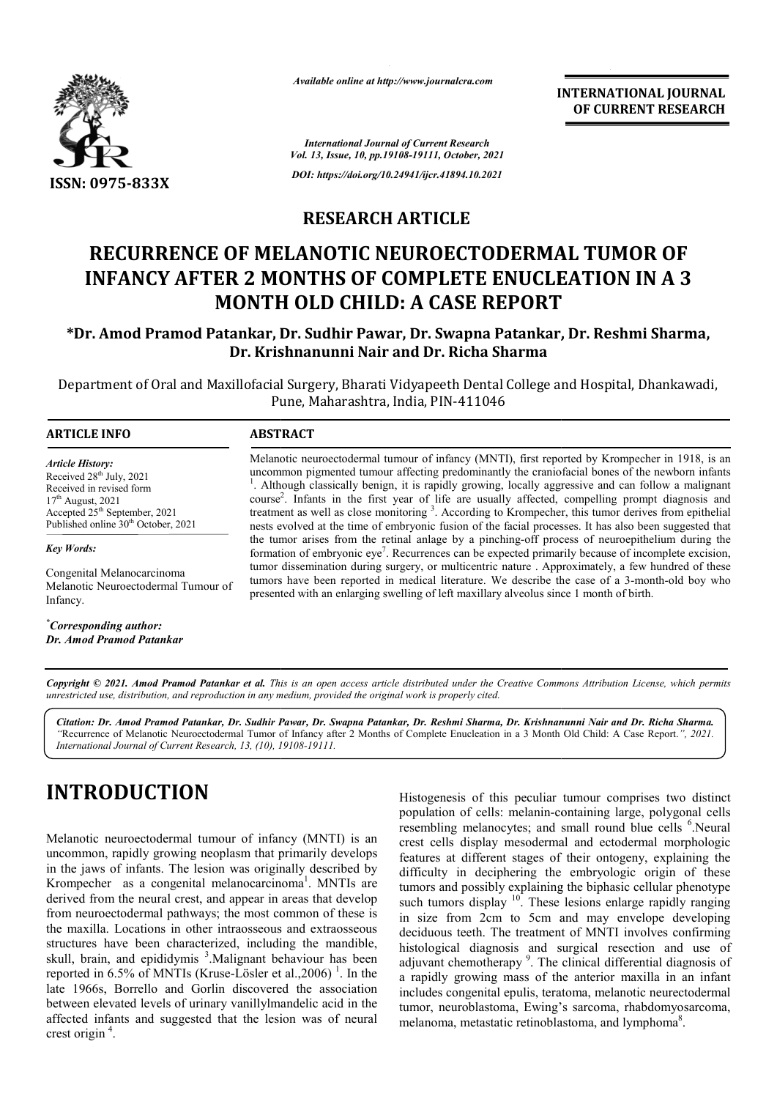

*Available online at http://www.journalcra.com*

**INTERNATIONAL JOURNAL OF CURRENT RESEARCH**

*International Journal of Current Research Vol. 13, Issue, 10, pp.19108-19111, October, 2021 DOI: https://doi.org/10.24941/ijcr.41894.10.2021*

# **RESEARCH ARTICLE**

### **RECURRENCE OF MELANOTIC NEUROECTODERMAL TUMOR OF INFANCY AFTER 2 MONTHS OF COMPLETE ENUCLEATION IN A 3 MONTH OLD CHILD: A CASE REPORT** TIC NEUROECTODERMAL TUMOR OF<br>**S OF COMPLETE ENUCLEATION IN A 3**<br>CHILD: A CASE REPORT

### **\*Dr. Amod Pramod Patankar, Dr. Sudhir Pawar, Dr. Swapna Dr. Patankar, Dr. Reshmi Sharma, Dr. Krishnanunni Nair and Dr. Richa Sharma**

Department of Oral and Maxillofacial Surgery, Bharati Vidyapeeth Dental College and Hospital, Dhankawadi, Pune, Maharashtra, India, PIN-411046

#### **ARTICLE INFO ABSTRACT** Melanotic neuroectodermal tumour of infancy (MNTI), first reported by Krompecher in 1918, is an Melanotic neuroectodermal tumour of infancy (MNTI), first reported by Krompecher in 1918, is an uncommon pigmented tumour affecting predominantly the craniofacial bones of the newborn infants <sup>1</sup>. Although classically benign, it is rapidly growing, locally aggressive and can follow a malignant course<sup>2</sup> treatment as well as close nests evolved at the time of embryonic fusion of the facial processes. It has also been suggested that the tumor arises from the retinal anlage by a pinching-off process of neuroepi formation of embryonic eye<sup>7</sup>. Recurrences can be expected primarily because of incomplete excision, tumor dissemination during surgery, or multicentric nature . Approximately, a few hundred of these formation of embryonic eye'. Recurrences can be expected primarily because of incomplete excision, tumor dissemination during surgery, or multicentric nature. Approximately, a few hundred of these tumors have been reported *Article History: Article History: ArticleHistory:*Received  $28<sup>th</sup>$  July,  $2021$ Received in revised form Received in revised form Received in revised form<br>17<sup>th</sup> August, 2021 Accepted 25<sup>th</sup> September, 2021 Published online 30<sup>th</sup> October, 2021 *Key Words:* Congenital Melanocarcinoma Melanotic Neuroectodermal Tumour of  $2$ . Infants in the first year of life are usually affected, compelling prompt diagnosis and e monitoring <sup>3</sup>. According to Krompecher, this tumor derives from epithelial <sup>1</sup>. Although classically benign, it is rapidly growing, locally aggressive and can follow a malignant course<sup>2</sup>. Infants in the first year of life are usually affected, compelling prompt diagnosis and treatment as well a

*\* Corresponding author: Dr. Amod Pramod Patankar*

Infancy.

presented with an enlarging swelling of left maxillary alveolus since 1 month of birth.

Copyright © 2021. Amod Pramod Patankar et al. This is an open access article distributed under the Creative Commons Attribution License, which permits *unrestricted use, distribution, and reproduction in any medium, provided the original work is properly cited.*

*Citation: Dr. Amod Pramod Patankar, Dr. Sudhir Pawar, Dr. Swapna Patankar, Dr. Reshmi Sharma, Dr. Krishnanunni Nair and Dr. Richa Sharma Krishnanunni Richa Sharma.* "Recurrence of Melanotic Neuroectodermal Tumor of Infancy after 2 Months of Complete Enucleation in a 3 Month Old Child: A Case Report.", 2021. *International Journal of Current Research, 13, (10), 19108 19108-19111.*

# **INTRODUCTION**

Melanotic neuroectodermal tumour of infancy (MNTI) is an uncommon, rapidly growing neoplasm that primarily develops in the jaws of infants. The lesion was originally described by Krompecher as a congenital melanocarcinoma<sup>1</sup>. MNTIs are derived from the neural crest, and appear in areas that develop from neuroectodermal pathways; the most common of these is the maxilla. Locations in other intraosseous and extraosseous structures have been characterized, including the mandible, skull, brain, and epididymis <sup>3</sup>. Malignant behaviour has been reported in 6.5% of MNTIs (Kruse-Lösler et al., 2006)<sup>1</sup>. In the late 1966s, Borrello and Gorlin discovered the association between elevated levels of urinary vanillylmandelic acid in the affected infants and suggested that the lesion was of neural crest origin<sup>4</sup>.

**Example 19 Follows**<br> **Example 19 Follow 19 Follows** Histogenesis of this peculiar tumour comprises two distinct<br>
tumour of infancy (MNTI) is an<br>
crest cells display mesodermal and ectodermal morphologic<br>
neoplasm that pri population of cells: melanin-containing large, polygonal cells Histogenesis of this peculiar tumour comprises two distinct population of cells: melanin-containing large, polygonal cells resembling melanocytes; and small round blue cells <sup>6</sup>.Neural crest cells display mesodermal and ectodermal morphologic features at different stages of their ontogeny, explaining the difficulty in deciphering the embryologic origin of these tumors and possibly explaining the biphasic cellular phenotype such tumors display  $10$ . These lesions enlarge rapidly ranging in size from 2cm to 5cm and may envelope developing deciduous teeth. The treatment of MNTI involves confirming histological diagnosis and surgical resection and use of adjuvant chemotherapy<sup>9</sup>. The clinical differential diagnosis of adjuvant chemotherapy<sup>9</sup>. The clinical differential diagnosis of a rapidly growing mass of the anterior maxilla in an infant includes congenital epulis, teratoma, melanotic neurectodermal tumor, neuroblastoma, Ewing's sarcoma, rhabdomyosarcoma, melanoma, metastatic retinoblastoma, and lymphoma<sup>8</sup>. melanoma, metastatic retinoblastoma, and lymphoma . cells display mesodermal and ectodermal morphologic<br>es at different stages of their ontogeny, explaining the<br>ulty in deciphering the embryologic origin of these<br>s and possibly explaining the biphasic cellular phenotype<br>tum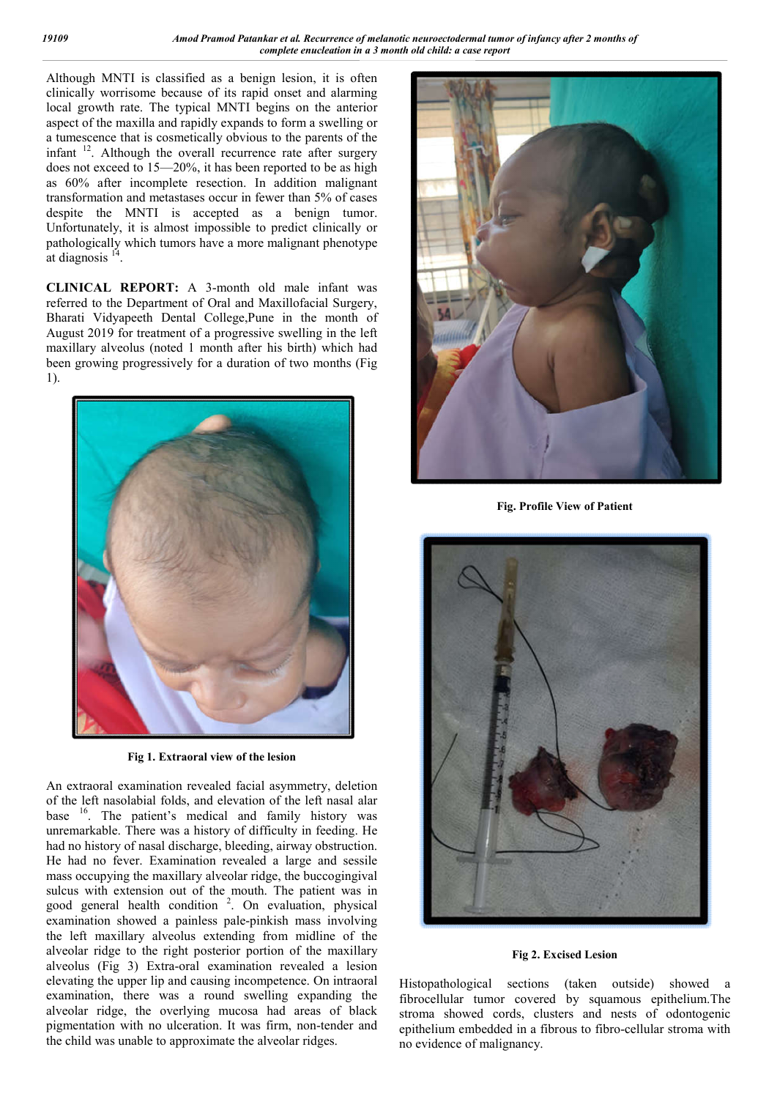Although MNTI is classified as a benign lesion, it is often clinically worrisome because of its rapid onset and alarming local growth rate. The typical MNTI begins on the anterior aspect of the maxilla and rapidly expands to form a swelling or a tumescence that is cosmetically obvious to the parents of the infant <sup>12</sup>. Although the overall recurrence rate after surgery does not exceed to 15—20%, it has been reported to be as high as 60% after incomplete resection. In addition malignant transformation and metastases occur in fewer than 5% of cases despite the MNTI is accepted as a benign tumor. Unfortunately, it is almost impossible to predict clinically or pathologically which tumors have a more malignant phenotype at diagnosis $1$ 

**CLINICAL REPORT:** A 3-month old male infant was referred to the Department of Oral and Maxillofacial Surgery, Bharati Vidyapeeth Dental College,Pune in the month of August 2019 for treatment of a progressive swelling in the left maxillary alveolus (noted 1 month after his birth) which had been growing progressively for a duration of two months (Fig 1).



**Fig 1. Extraoral view of the lesion**

An extraoral examination revealed facial asymmetry, deletion of the left nasolabial folds, and elevation of the left nasal alar base <sup>16</sup>. The patient's medical and family history was unremarkable. There was a history of difficulty in feeding. He had no history of nasal discharge, bleeding, airway obstruction. He had no fever. Examination revealed a large and sessile mass occupying the maxillary alveolar ridge, the buccogingival sulcus with extension out of the mouth. The patient was in good general health condition<sup>2</sup>. On evaluation, physical examination showed a painless pale-pinkish mass involving the left maxillary alveolus extending from midline of the alveolar ridge to the right posterior portion of the maxillary alveolus (Fig 3) Extra-oral examination revealed a lesion elevating the upper lip and causing incompetence. On intraoral examination, there was a round swelling expanding the alveolar ridge, the overlying mucosa had areas of black pigmentation with no ulceration. It was firm, non-tender and the child was unable to approximate the alveolar ridges.



**Fig. Profile View of Patient**



**Fig 2. Excised Lesion**

Histopathological sections (taken outside) showed a fibrocellular tumor covered by squamous epithelium.The stroma showed cords, clusters and nests of odontogenic epithelium embedded in a fibrous to fibro-cellular stroma with no evidence of malignancy.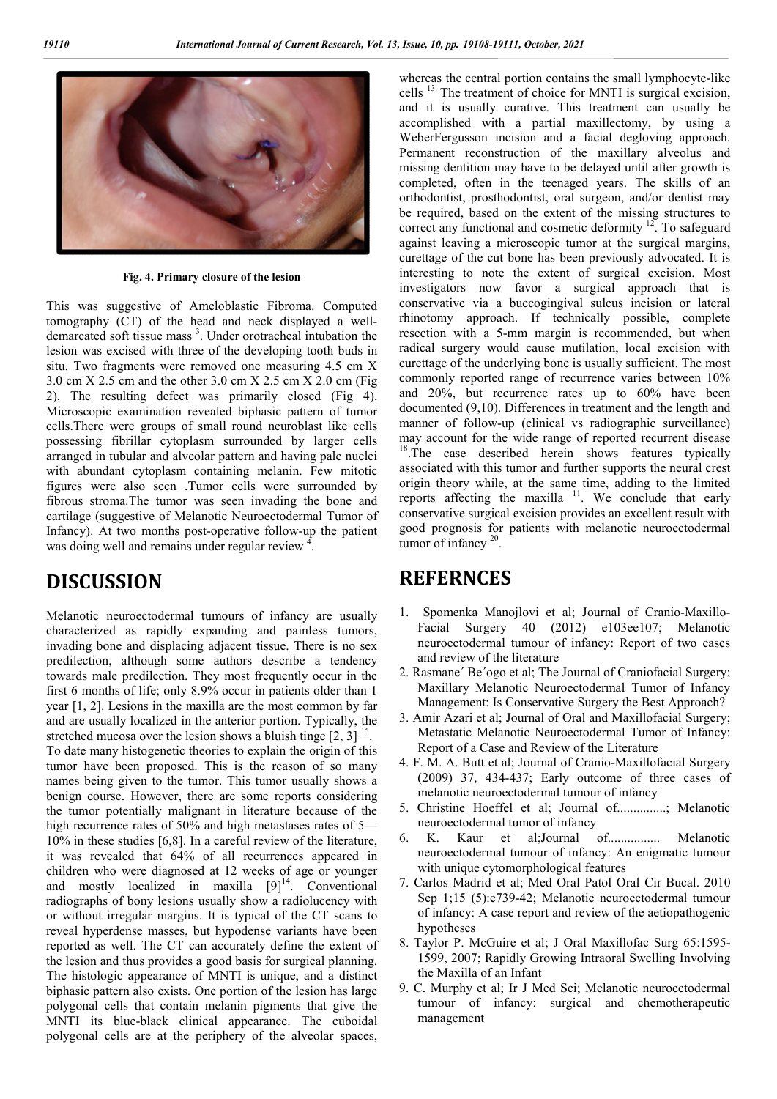

**Fig. 4. Primary closure of the lesion**

This was suggestive of Ameloblastic Fibroma. Computed tomography (CT) of the head and neck displayed a welldemarcated soft tissue mass<sup>3</sup>. Under orotracheal intubation the lesion was excised with three of the developing tooth buds in situ. Two fragments were removed one measuring 4.5 cm X 3.0 cm X 2.5 cm and the other 3.0 cm X 2.5 cm X 2.0 cm (Fig 2). The resulting defect was primarily closed (Fig 4). Microscopic examination revealed biphasic pattern of tumor cells.There were groups of small round neuroblast like cells possessing fibrillar cytoplasm surrounded by larger cells arranged in tubular and alveolar pattern and having pale nuclei with abundant cytoplasm containing melanin. Few mitotic figures were also seen .Tumor cells were surrounded by fibrous stroma.The tumor was seen invading the bone and cartilage (suggestive of Melanotic Neuroectodermal Tumor of Infancy). At two months post-operative follow-up the patient was doing well and remains under regular review<sup>4</sup>.

# **DISCUSSION**

Melanotic neuroectodermal tumours of infancy are usually characterized as rapidly expanding and painless tumors, invading bone and displacing adjacent tissue. There is no sex predilection, although some authors describe a tendency towards male predilection. They most frequently occur in the first 6 months of life; only 8.9% occur in patients older than 1 year [1, 2]. Lesions in the maxilla are the most common by far and are usually localized in the anterior portion. Typically, the stretched mucosa over the lesion shows a bluish tinge  $[2, 3]$ <sup>15</sup>. To date many histogenetic theories to explain the origin of this tumor have been proposed. This is the reason of so many names being given to the tumor. This tumor usually shows a benign course. However, there are some reports considering the tumor potentially malignant in literature because of the high recurrence rates of 50% and high metastases rates of 5— 10% in these studies [6,8]. In a careful review of the literature, it was revealed that 64% of all recurrences appeared in children who were diagnosed at 12 weeks of age or younger and mostly localized in maxilla  $[9]^{14}$ . Conventional radiographs of bony lesions usually show a radiolucency with or without irregular margins. It is typical of the CT scans to reveal hyperdense masses, but hypodense variants have been reported as well. The CT can accurately define the extent of the lesion and thus provides a good basis for surgical planning. The histologic appearance of MNTI is unique, and a distinct biphasic pattern also exists. One portion of the lesion has large polygonal cells that contain melanin pigments that give the MNTI its blue-black clinical appearance. The cuboidal polygonal cells are at the periphery of the alveolar spaces,

whereas the central portion contains the small lymphocyte-like cells 13. The treatment of choice for MNTI is surgical excision, and it is usually curative. This treatment can usually be accomplished with a partial maxillectomy, by using a WeberFergusson incision and a facial degloving approach. Permanent reconstruction of the maxillary alveolus and missing dentition may have to be delayed until after growth is completed, often in the teenaged years. The skills of an orthodontist, prosthodontist, oral surgeon, and/or dentist may be required, based on the extent of the missing structures to correct any functional and cosmetic deformity  $12$ . To safeguard against leaving a microscopic tumor at the surgical margins, curettage of the cut bone has been previously advocated. It is interesting to note the extent of surgical excision. Most investigators now favor a surgical approach that is conservative via a buccogingival sulcus incision or lateral rhinotomy approach. If technically possible, complete resection with a 5-mm margin is recommended, but when radical surgery would cause mutilation, local excision with curettage of the underlying bone is usually sufficient. The most commonly reported range of recurrence varies between 10% and 20%, but recurrence rates up to 60% have been documented (9,10). Differences in treatment and the length and manner of follow-up (clinical vs radiographic surveillance) may account for the wide range of reported recurrent disease <sup>18</sup>.The case described herein shows features typically associated with this tumor and further supports the neural crest origin theory while, at the same time, adding to the limited reports affecting the maxilla <sup>11</sup>. We conclude that early conservative surgical excision provides an excellent result with good prognosis for patients with melanotic neuroectodermal tumor of infancy<sup>20</sup>.

### **REFERNCES**

- 1. Spomenka Manojlovi et al; Journal of Cranio-Maxillo-Facial Surgery 40 (2012) e103ee107; Melanotic neuroectodermal tumour of infancy: Report of two cases and review of the literature
- 2. Rasmane´ Be´ogo et al; The Journal of Craniofacial Surgery; Maxillary Melanotic Neuroectodermal Tumor of Infancy Management: Is Conservative Surgery the Best Approach?
- 3. Amir Azari et al; Journal of Oral and Maxillofacial Surgery; Metastatic Melanotic Neuroectodermal Tumor of Infancy: Report of a Case and Review of the Literature
- 4. F. M. A. Butt et al; Journal of Cranio-Maxillofacial Surgery (2009) 37, 434-437; Early outcome of three cases of melanotic neuroectodermal tumour of infancy
- 5. Christine Hoeffel et al; Journal of...............; Melanotic neuroectodermal tumor of infancy
- 6. K. Kaur et al;Journal of................ Melanotic neuroectodermal tumour of infancy: An enigmatic tumour with unique cytomorphological features
- 7. Carlos Madrid et al; Med Oral Patol Oral Cir Bucal. 2010 Sep 1;15 (5):e739-42; Melanotic neuroectodermal tumour of infancy: A case report and review of the aetiopathogenic hypotheses
- 8. Taylor P. McGuire et al; J Oral Maxillofac Surg 65:1595- 1599, 2007; Rapidly Growing Intraoral Swelling Involving the Maxilla of an Infant
- 9. C. Murphy et al; Ir J Med Sci; Melanotic neuroectodermal tumour of infancy: surgical and chemotherapeutic management